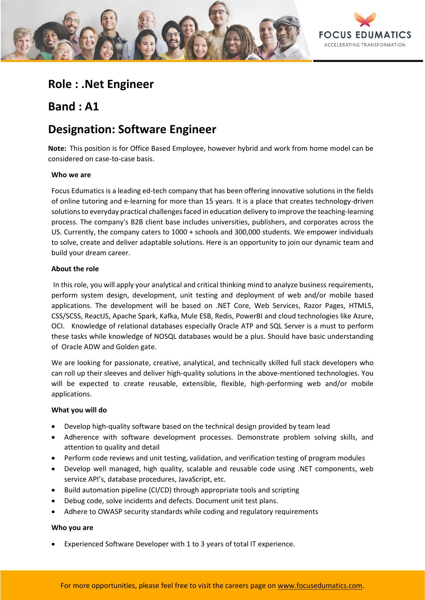

# **Role : .Net Engineer**

**Band : A1**

# **Designation: Software Engineer**

**Note:** This position is for Office Based Employee, however hybrid and work from home model can be considered on case-to-case basis.

## **Who we are**

Focus Edumatics is a leading ed-tech company that has been offering innovative solutions in the fields of online tutoring and e-learning for more than 15 years. It is a place that creates technology-driven solutions to everyday practical challenges faced in education delivery to improve the teaching-learning process. The company's B2B client base includes universities, publishers, and corporates across the US. Currently, the company caters to 1000 + schools and 300,000 students. We empower individuals to solve, create and deliver adaptable solutions. Here is an opportunity to join our dynamic team and build your dream career.

## **About the role**

In this role, you will apply your analytical and critical thinking mind to analyze business requirements, perform system design, development, unit testing and deployment of web and/or mobile based applications. The development will be based on .NET Core, Web Services, Razor Pages, HTML5, CSS/SCSS, ReactJS, Apache Spark, Kafka, Mule ESB, Redis, PowerBI and cloud technologies like Azure, OCI. Knowledge of relational databases especially Oracle ATP and SQL Server is a must to perform these tasks while knowledge of NOSQL databases would be a plus. Should have basic understanding of Oracle ADW and Golden gate.

We are looking for passionate, creative, analytical, and technically skilled full stack developers who can roll up their sleeves and deliver high-quality solutions in the above-mentioned technologies. You will be expected to create reusable, extensible, flexible, high-performing web and/or mobile applications.

#### **What you will do**

- Develop high-quality software based on the technical design provided by team lead
- Adherence with software development processes. Demonstrate problem solving skills, and attention to quality and detail
- Perform code reviews and unit testing, validation, and verification testing of program modules
- Develop well managed, high quality, scalable and reusable code using .NET components, web service API's, database procedures, JavaScript, etc.
- Build automation pipeline (CI/CD) through appropriate tools and scripting
- Debug code, solve incidents and defects. Document unit test plans.
- Adhere to OWASP security standards while coding and regulatory requirements

#### **Who you are**

• Experienced Software Developer with 1 to 3 years of total IT experience.